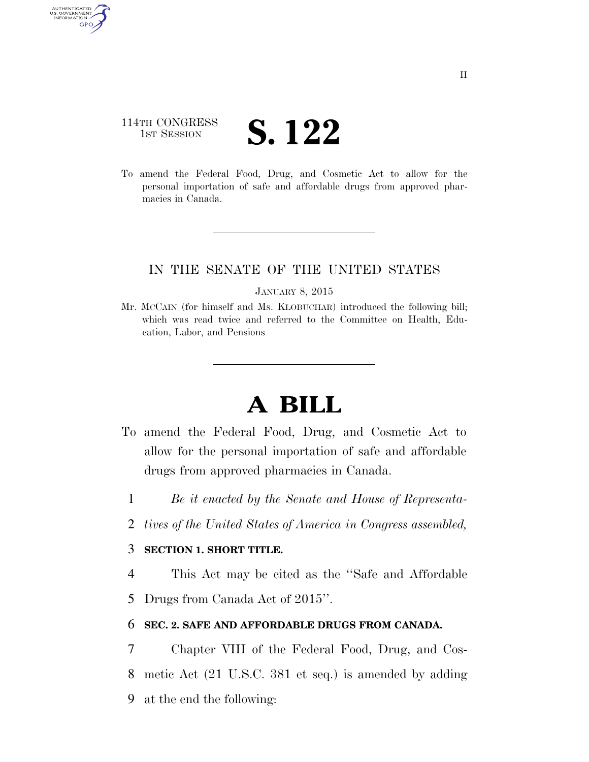## 114TH CONGRESS **IST SESSION S. 122**

AUTHENTICATED U.S. GOVERNMENT **GPO** 

> To amend the Federal Food, Drug, and Cosmetic Act to allow for the personal importation of safe and affordable drugs from approved pharmacies in Canada.

### IN THE SENATE OF THE UNITED STATES

#### JANUARY 8, 2015

Mr. MCCAIN (for himself and Ms. KLOBUCHAR) introduced the following bill; which was read twice and referred to the Committee on Health, Education, Labor, and Pensions

# **A BILL**

- To amend the Federal Food, Drug, and Cosmetic Act to allow for the personal importation of safe and affordable drugs from approved pharmacies in Canada.
	- 1 *Be it enacted by the Senate and House of Representa-*
	- 2 *tives of the United States of America in Congress assembled,*

### 3 **SECTION 1. SHORT TITLE.**

4 This Act may be cited as the ''Safe and Affordable 5 Drugs from Canada Act of 2015''.

### 6 **SEC. 2. SAFE AND AFFORDABLE DRUGS FROM CANADA.**

7 Chapter VIII of the Federal Food, Drug, and Cos-8 metic Act (21 U.S.C. 381 et seq.) is amended by adding 9 at the end the following: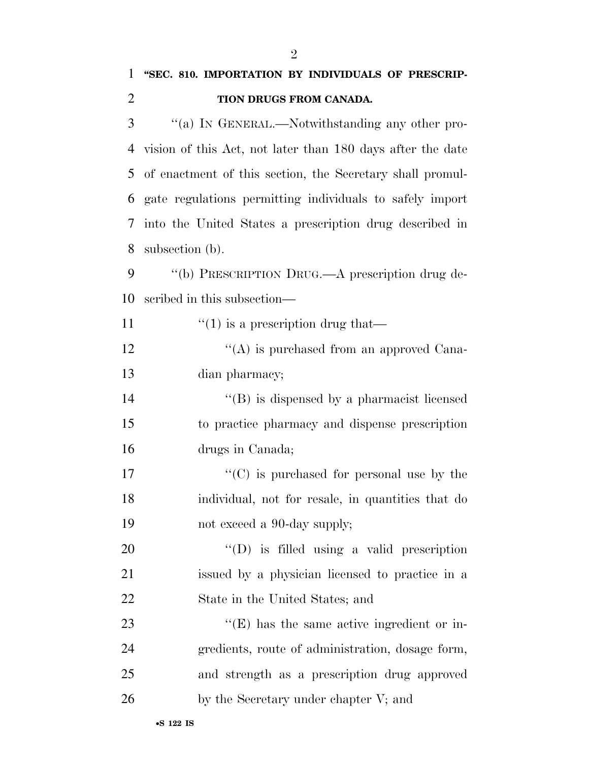| $\mathbf{1}$   | "SEC. 810. IMPORTATION BY INDIVIDUALS OF PRESCRIP-         |
|----------------|------------------------------------------------------------|
| $\overline{2}$ | TION DRUGS FROM CANADA.                                    |
| 3              | "(a) IN GENERAL.—Notwithstanding any other pro-            |
| 4              | vision of this Act, not later than 180 days after the date |
| 5              | of enactment of this section, the Secretary shall promul-  |
| 6              | gate regulations permitting individuals to safely import   |
| 7              | into the United States a prescription drug described in    |
| 8              | subsection (b).                                            |
| 9              | "(b) PRESCRIPTION DRUG.—A prescription drug de-            |
| 10             | scribed in this subsection—                                |
| 11             | $\lq(1)$ is a prescription drug that—                      |
| 12             | $\lq\lq$ is purchased from an approved Cana-               |
| 13             | dian pharmacy;                                             |
| 14             | $\lq\lq$ is dispensed by a pharmacist licensed             |
| 15             | to practice pharmacy and dispense prescription             |
| 16             | drugs in Canada;                                           |
| 17             | $\lq\lq$ (C) is purchased for personal use by the          |
| 18             | individual, not for resale, in quantities that do          |
| 19             | not exceed a 90-day supply;                                |
| 20             | $\lq\lq$ (D) is filled using a valid prescription          |
| 21             | issued by a physician licensed to practice in a            |
| 22             | State in the United States; and                            |
| 23             | $\lq\lq$ (E) has the same active ingredient or in-         |
| 24             | gredients, route of administration, dosage form,           |
| 25             | and strength as a prescription drug approved               |
| 26             | by the Secretary under chapter V; and                      |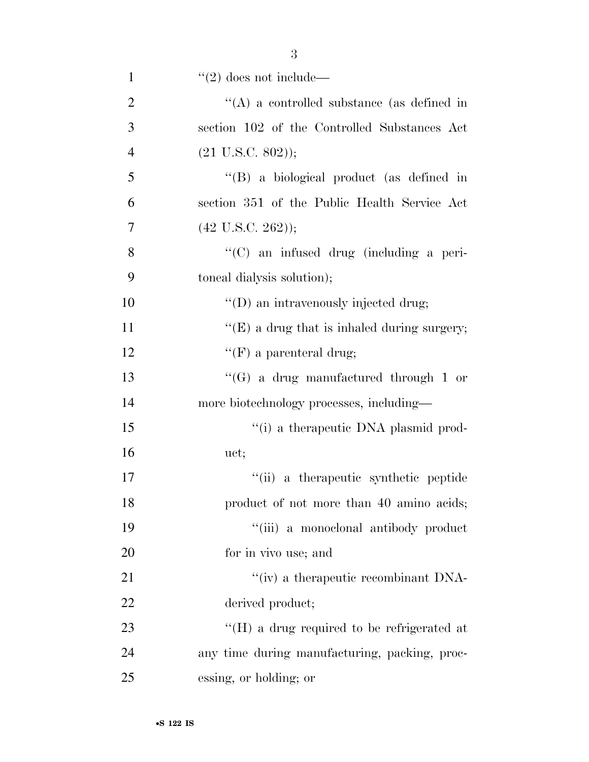| $\mathbf{1}$   | $"(2)$ does not include—                           |
|----------------|----------------------------------------------------|
| $\overline{2}$ | $\lq\lq$ a controlled substance (as defined in     |
| 3              | section 102 of the Controlled Substances Act       |
| $\overline{4}$ | $(21 \text{ U.S.C. } 802));$                       |
| 5              | "(B) a biological product (as defined in           |
| 6              | section 351 of the Public Health Service Act       |
| 7              | $(42 \text{ U.S.C. } 262));$                       |
| 8              | "(C) an infused drug (including a peri-            |
| 9              | toneal dialysis solution);                         |
| 10             | $\lq\lq$ (D) an intravenously injected drug;       |
| 11             | " $(E)$ a drug that is inhaled during surgery;     |
| 12             | "(F) a parenteral drug;                            |
| 13             | "(G) a drug manufactured through 1 or              |
| 14             | more biotechnology processes, including—           |
| 15             | "(i) a therapeutic DNA plasmid prod-               |
| 16             | uct;                                               |
| 17             | "(ii) a therapeutic synthetic peptide              |
| 18             | product of not more than 40 amino acids;           |
| 19             | "(iii) a monoclonal antibody product               |
| <b>20</b>      | for in vivo use; and                               |
| 21             | $\lq\lq$ (iv) a therapeutic recombinant DNA-       |
| 22             | derived product;                                   |
| 23             | $\rm{``(H)}$ a drug required to be refrigerated at |
| 24             | any time during manufacturing, packing, proc-      |
| 25             | essing, or holding; or                             |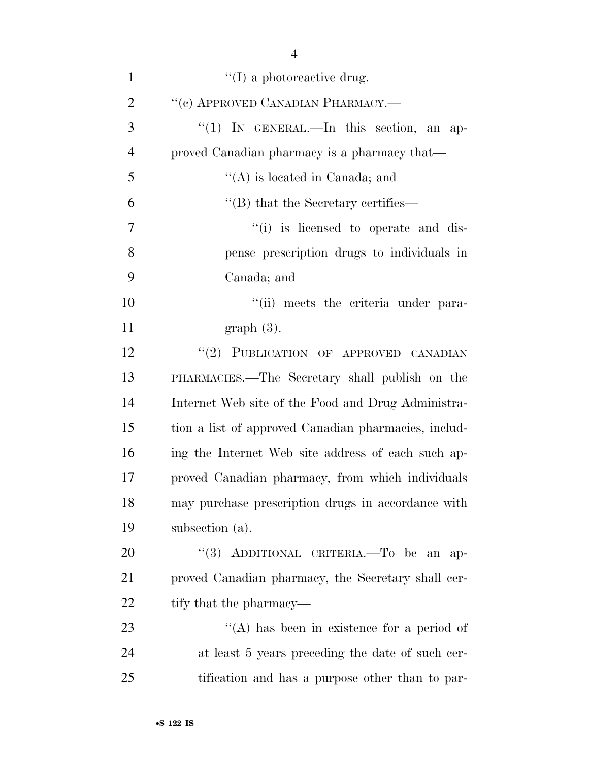| $\mathbf{1}$   | $\lq\lq$ a photoreactive drug.                       |
|----------------|------------------------------------------------------|
| $\overline{2}$ | "(c) APPROVED CANADIAN PHARMACY.-                    |
| 3              | "(1) IN GENERAL.—In this section, an ap-             |
| $\overline{4}$ | proved Canadian pharmacy is a pharmacy that—         |
| 5              | $\lq\lq$ is located in Canada; and                   |
| 6              | $\lq$ (B) that the Secretary certifies—              |
| $\overline{7}$ | "(i) is licensed to operate and dis-                 |
| 8              | pense prescription drugs to individuals in           |
| 9              | Canada; and                                          |
| 10             | "(ii) meets the criteria under para-                 |
| 11             | $graph(3)$ .                                         |
| 12             | "(2) PUBLICATION OF APPROVED CANADIAN                |
| 13             | PHARMACIES.—The Secretary shall publish on the       |
| 14             | Internet Web site of the Food and Drug Administra-   |
| 15             | tion a list of approved Canadian pharmacies, includ- |
| 16             | ing the Internet Web site address of each such ap-   |
| 17             | proved Canadian pharmacy, from which individuals     |
| 18             | may purchase prescription drugs in accordance with   |
| 19             | subsection (a).                                      |
| 20             | "(3) ADDITIONAL CRITERIA.—To be an<br>$ap-$          |
| 21             | proved Canadian pharmacy, the Secretary shall cer-   |
| 22             | tify that the pharmacy—                              |
| 23             | $\lq\lq$ has been in existence for a period of       |
| 24             | at least 5 years preceding the date of such cer-     |
| 25             | tification and has a purpose other than to par-      |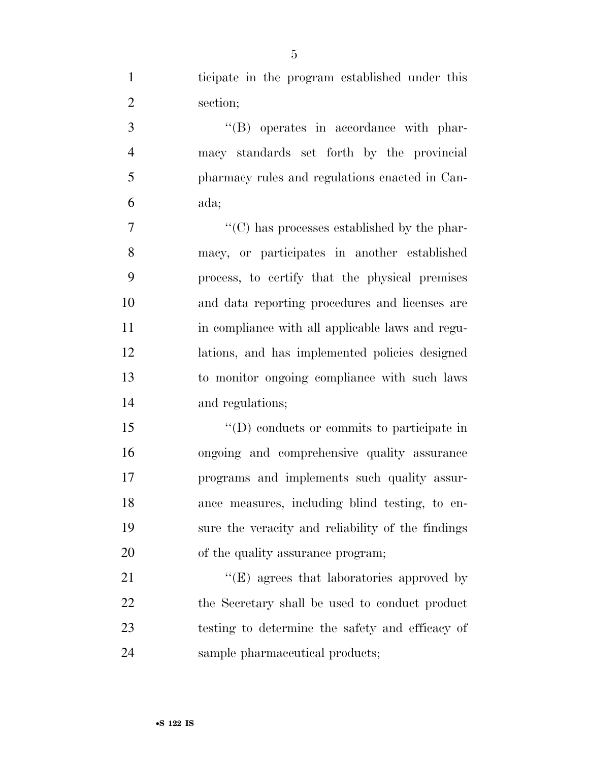ticipate in the program established under this section;

 ''(B) operates in accordance with phar- macy standards set forth by the provincial pharmacy rules and regulations enacted in Can-ada;

 ''(C) has processes established by the phar- macy, or participates in another established process, to certify that the physical premises and data reporting procedures and licenses are in compliance with all applicable laws and regu- lations, and has implemented policies designed to monitor ongoing compliance with such laws and regulations;

 $\langle \text{`}(D) \rangle$  conducts or commits to participate in ongoing and comprehensive quality assurance programs and implements such quality assur- ance measures, including blind testing, to en- sure the veracity and reliability of the findings 20 of the quality assurance program;

21 ''(E) agrees that laboratories approved by 22 the Secretary shall be used to conduct product testing to determine the safety and efficacy of sample pharmaceutical products;